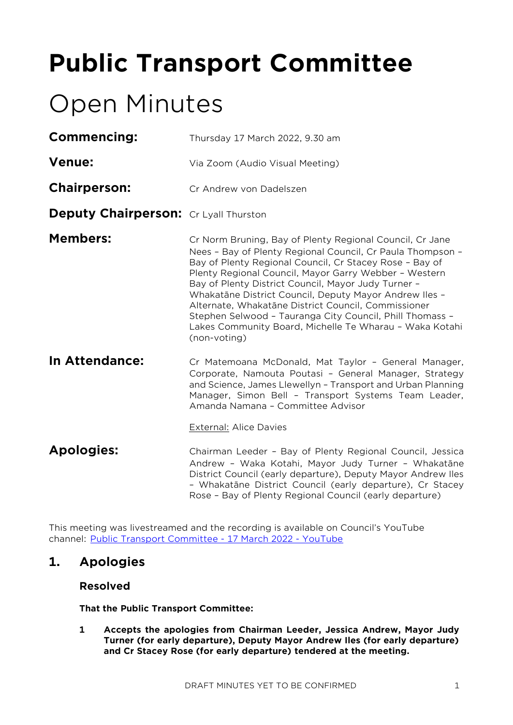# **Public Transport Committee**

# Open Minutes

| Commencing:                                  | Thursday 17 March 2022, 9.30 am                                                                                                                                                                                                                                                                                                                                                                                                                                                                                                                           |
|----------------------------------------------|-----------------------------------------------------------------------------------------------------------------------------------------------------------------------------------------------------------------------------------------------------------------------------------------------------------------------------------------------------------------------------------------------------------------------------------------------------------------------------------------------------------------------------------------------------------|
| <b>Venue:</b>                                | Via Zoom (Audio Visual Meeting)                                                                                                                                                                                                                                                                                                                                                                                                                                                                                                                           |
| <b>Chairperson:</b>                          | Cr Andrew von Dadelszen                                                                                                                                                                                                                                                                                                                                                                                                                                                                                                                                   |
| <b>Deputy Chairperson:</b> Cr Lyall Thurston |                                                                                                                                                                                                                                                                                                                                                                                                                                                                                                                                                           |
| <b>Members:</b>                              | Cr Norm Bruning, Bay of Plenty Regional Council, Cr Jane<br>Nees - Bay of Plenty Regional Council, Cr Paula Thompson -<br>Bay of Plenty Regional Council, Cr Stacey Rose - Bay of<br>Plenty Regional Council, Mayor Garry Webber - Western<br>Bay of Plenty District Council, Mayor Judy Turner -<br>Whakatāne District Council, Deputy Mayor Andrew Iles -<br>Alternate, Whakatāne District Council, Commissioner<br>Stephen Selwood - Tauranga City Council, Phill Thomass -<br>Lakes Community Board, Michelle Te Wharau - Waka Kotahi<br>(non-voting) |
| In Attendance:                               | Cr Matemoana McDonald, Mat Taylor - General Manager,<br>Corporate, Namouta Poutasi - General Manager, Strategy<br>and Science, James Llewellyn - Transport and Urban Planning<br>Manager, Simon Bell - Transport Systems Team Leader,<br>Amanda Namana - Committee Advisor                                                                                                                                                                                                                                                                                |
|                                              | <b>External: Alice Davies</b>                                                                                                                                                                                                                                                                                                                                                                                                                                                                                                                             |
| <b>Apologies:</b>                            | Chairman Leeder - Bay of Plenty Regional Council, Jessica<br>Andrew - Waka Kotahi, Mayor Judy Turner - Whakatāne<br>District Council (early departure), Deputy Mayor Andrew Iles<br>- Whakatāne District Council (early departure), Cr Stacey<br>Rose - Bay of Plenty Regional Council (early departure)                                                                                                                                                                                                                                                  |
|                                              |                                                                                                                                                                                                                                                                                                                                                                                                                                                                                                                                                           |

This meeting was livestreamed and the recording is available on Council's YouTube channel: [Public Transport Committee -](https://www.youtube.com/watch?v=ylDPeesfs4Y) 17 March 2022 - YouTube

# **1. Apologies**

## **Resolved**

**That the Public Transport Committee:**

**1 Accepts the apologies from Chairman Leeder, Jessica Andrew, Mayor Judy Turner (for early departure), Deputy Mayor Andrew Iles (for early departure) and Cr Stacey Rose (for early departure) tendered at the meeting.**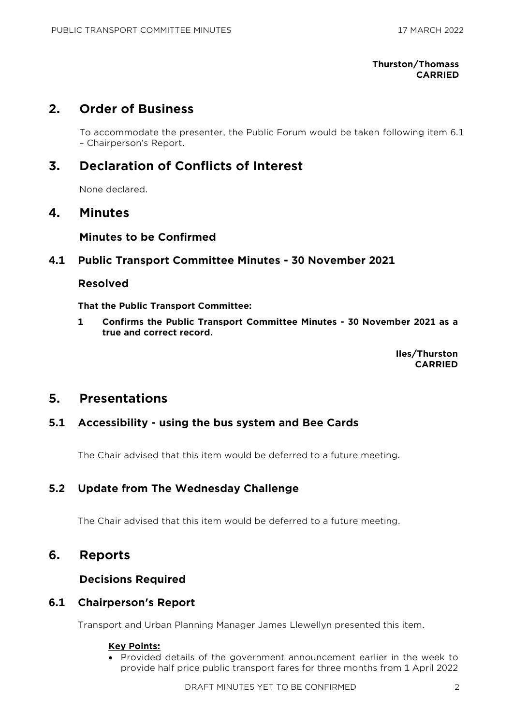#### **Thurston/Thomass CARRIED**

# **2. Order of Business**

To accommodate the presenter, the Public Forum would be taken following item 6.1 – Chairperson's Report.

# **3. Declaration of Conflicts of Interest**

None declared.

# **4. Minutes**

## **Minutes to be Confirmed**

## **4.1 Public Transport Committee Minutes - 30 November 2021**

## **Resolved**

**That the Public Transport Committee:**

**1 Confirms the Public Transport Committee Minutes - 30 November 2021 as a true and correct record.**

> **Iles/Thurston CARRIED**

# **5. Presentations**

## **5.1 Accessibility - using the bus system and Bee Cards**

The Chair advised that this item would be deferred to a future meeting.

# **5.2 Update from The Wednesday Challenge**

The Chair advised that this item would be deferred to a future meeting.

# **6. Reports**

## **Decisions Required**

## **6.1 Chairperson's Report**

Transport and Urban Planning Manager James Llewellyn presented this item.

#### **Key Points:**

• Provided details of the government announcement earlier in the week to provide half price public transport fares for three months from 1 April 2022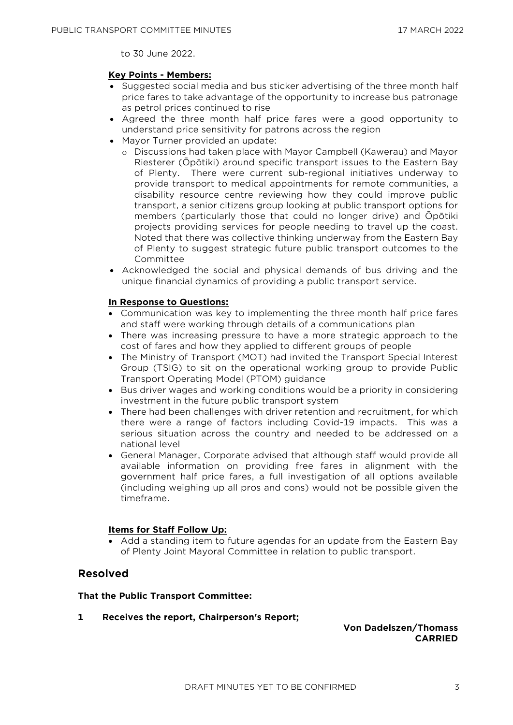to 30 June 2022.

#### **Key Points - Members:**

- Suggested social media and bus sticker advertising of the three month half price fares to take advantage of the opportunity to increase bus patronage as petrol prices continued to rise
- Agreed the three month half price fares were a good opportunity to understand price sensitivity for patrons across the region
- Mayor Turner provided an update:
	- o Discussions had taken place with Mayor Campbell (Kawerau) and Mayor Riesterer (Ōpōtiki) around specific transport issues to the Eastern Bay of Plenty. There were current sub-regional initiatives underway to provide transport to medical appointments for remote communities, a disability resource centre reviewing how they could improve public transport, a senior citizens group looking at public transport options for members (particularly those that could no longer drive) and Ōpōtiki projects providing services for people needing to travel up the coast. Noted that there was collective thinking underway from the Eastern Bay of Plenty to suggest strategic future public transport outcomes to the Committee
- Acknowledged the social and physical demands of bus driving and the unique financial dynamics of providing a public transport service.

#### **In Response to Questions:**

- Communication was key to implementing the three month half price fares and staff were working through details of a communications plan
- There was increasing pressure to have a more strategic approach to the cost of fares and how they applied to different groups of people
- The Ministry of Transport (MOT) had invited the Transport Special Interest Group (TSIG) to sit on the operational working group to provide Public Transport Operating Model (PTOM) guidance
- Bus driver wages and working conditions would be a priority in considering investment in the future public transport system
- There had been challenges with driver retention and recruitment, for which there were a range of factors including Covid-19 impacts. This was a serious situation across the country and needed to be addressed on a national level
- General Manager, Corporate advised that although staff would provide all available information on providing free fares in alignment with the government half price fares, a full investigation of all options available (including weighing up all pros and cons) would not be possible given the timeframe.

#### **Items for Staff Follow Up:**

• Add a standing item to future agendas for an update from the Eastern Bay of Plenty Joint Mayoral Committee in relation to public transport.

#### **Resolved**

#### **That the Public Transport Committee:**

**1 Receives the report, Chairperson's Report;**

**Von Dadelszen/Thomass CARRIED**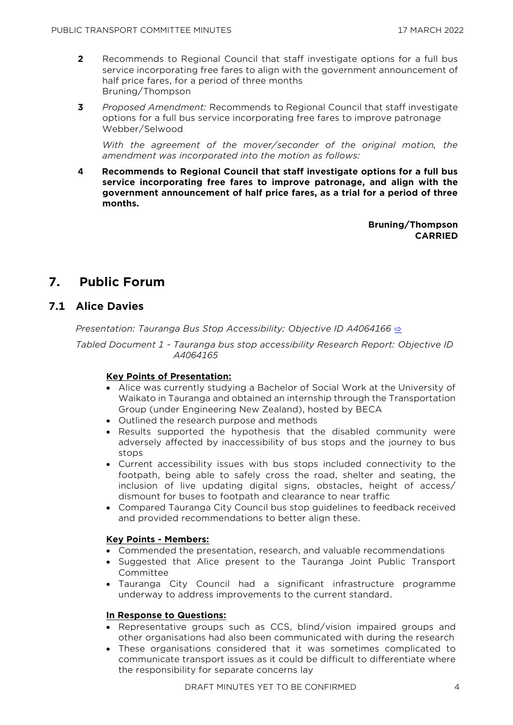- **2** Recommends to Regional Council that staff investigate options for a full bus service incorporating free fares to align with the government announcement of half price fares, for a period of three months Bruning/Thompson
- **3** *Proposed Amendment:* Recommends to Regional Council that staff investigate options for a full bus service incorporating free fares to improve patronage Webber/Selwood

With the agreement of the mover/seconder of the original motion, the *amendment was incorporated into the motion as follows:*

**4 Recommends to Regional Council that staff investigate options for a full bus service incorporating free fares to improve patronage, and align with the government announcement of half price fares, as a trial for a period of three months.**

> **Bruning/Thompson CARRIED**

# **7. Public Forum**

# **7.1 Alice Davies**

*Presentation: Tauranga Bus Stop Accessibility: Objective ID A4064166* **[⇨](../../../RedirectToInvalidFileName.aspx?FileName=PTC_20220317_MAT_3476.PDF#PAGE=2)** 

*Tabled Document 1 - Tauranga bus stop accessibility Research Report: Objective ID A4064165* 

#### **Key Points of Presentation:**

- Alice was currently studying a Bachelor of Social Work at the University of Waikato in Tauranga and obtained an internship through the Transportation Group (under Engineering New Zealand), hosted by BECA
- Outlined the research purpose and methods
- Results supported the hypothesis that the disabled community were adversely affected by inaccessibility of bus stops and the journey to bus stops
- Current accessibility issues with bus stops included connectivity to the footpath, being able to safely cross the road, shelter and seating, the inclusion of live updating digital signs, obstacles, height of access/ dismount for buses to footpath and clearance to near traffic
- Compared Tauranga City Council bus stop guidelines to feedback received and provided recommendations to better align these.

#### **Key Points - Members:**

- Commended the presentation, research, and valuable recommendations
- Suggested that Alice present to the Tauranga Joint Public Transport Committee
- Tauranga City Council had a significant infrastructure programme underway to address improvements to the current standard.

#### **In Response to Questions:**

- Representative groups such as CCS, blind/vision impaired groups and other organisations had also been communicated with during the research
- These organisations considered that it was sometimes complicated to communicate transport issues as it could be difficult to differentiate where the responsibility for separate concerns lay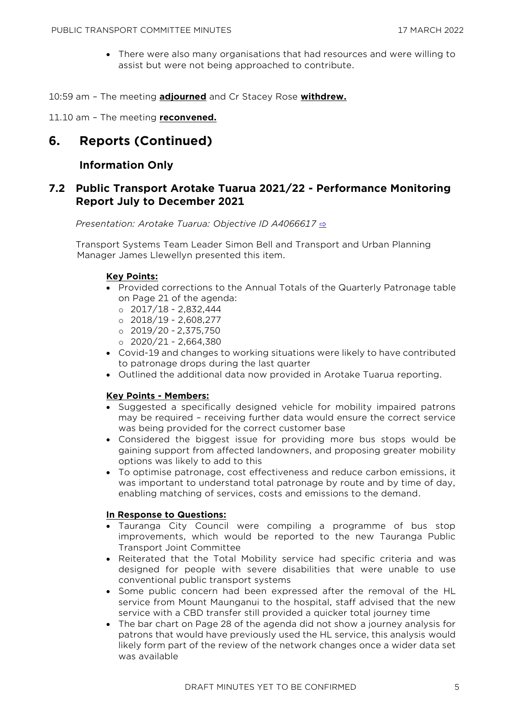• There were also many organisations that had resources and were willing to assist but were not being approached to contribute.

10:59 am – The meeting **adjourned** and Cr Stacey Rose **withdrew.**

11.10 am – The meeting **reconvened.**

# **6. Reports (Continued)**

# **Information Only**

# **7.2 Public Transport Arotake Tuarua 2021/22 - Performance Monitoring Report July to December 2021**

*Presentation: Arotake Tuarua: Objective ID A4066617* [⇨](../../../RedirectToInvalidFileName.aspx?FileName=PTC_20220317_MAT_3476.PDF#PAGE=36)

Transport Systems Team Leader Simon Bell and Transport and Urban Planning Manager James Llewellyn presented this item.

#### **Key Points:**

- Provided corrections to the Annual Totals of the Quarterly Patronage table on Page 21 of the agenda:
	- o 2017/18 2,832,444
	- o 2018/19 2,608,277
	- o 2019/20 2,375,750
	- o 2020/21 2,664,380
- Covid-19 and changes to working situations were likely to have contributed to patronage drops during the last quarter
- Outlined the additional data now provided in Arotake Tuarua reporting.

#### **Key Points - Members:**

- Suggested a specifically designed vehicle for mobility impaired patrons may be required – receiving further data would ensure the correct service was being provided for the correct customer base
- Considered the biggest issue for providing more bus stops would be gaining support from affected landowners, and proposing greater mobility options was likely to add to this
- To optimise patronage, cost effectiveness and reduce carbon emissions, it was important to understand total patronage by route and by time of day, enabling matching of services, costs and emissions to the demand.

#### **In Response to Questions:**

- Tauranga City Council were compiling a programme of bus stop improvements, which would be reported to the new Tauranga Public Transport Joint Committee
- Reiterated that the Total Mobility service had specific criteria and was designed for people with severe disabilities that were unable to use conventional public transport systems
- Some public concern had been expressed after the removal of the HL service from Mount Maunganui to the hospital, staff advised that the new service with a CBD transfer still provided a quicker total journey time
- The bar chart on Page 28 of the agenda did not show a journey analysis for patrons that would have previously used the HL service, this analysis would likely form part of the review of the network changes once a wider data set was available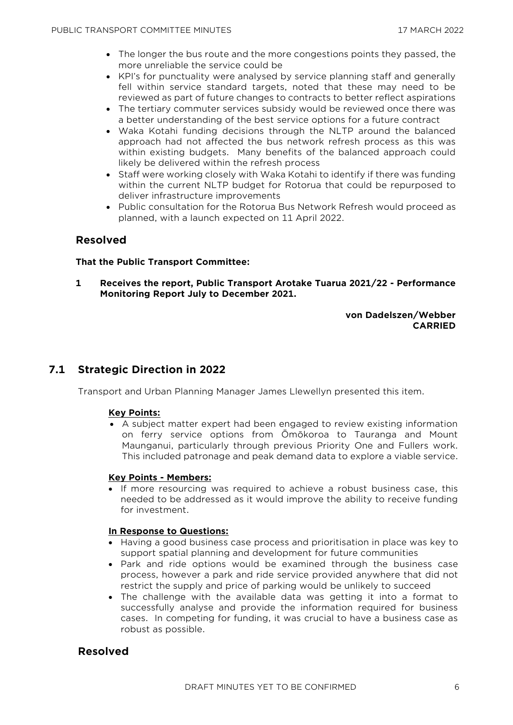- The longer the bus route and the more congestions points they passed, the more unreliable the service could be
- KPI's for punctuality were analysed by service planning staff and generally fell within service standard targets, noted that these may need to be reviewed as part of future changes to contracts to better reflect aspirations
- The tertiary commuter services subsidy would be reviewed once there was a better understanding of the best service options for a future contract
- Waka Kotahi funding decisions through the NLTP around the balanced approach had not affected the bus network refresh process as this was within existing budgets. Many benefits of the balanced approach could likely be delivered within the refresh process
- Staff were working closely with Waka Kotahi to identify if there was funding within the current NLTP budget for Rotorua that could be repurposed to deliver infrastructure improvements
- Public consultation for the Rotorua Bus Network Refresh would proceed as planned, with a launch expected on 11 April 2022.

# **Resolved**

#### **That the Public Transport Committee:**

**1 Receives the report, Public Transport Arotake Tuarua 2021/22 - Performance Monitoring Report July to December 2021.**

#### **von Dadelszen/Webber CARRIED**

# **7.1 Strategic Direction in 2022**

Transport and Urban Planning Manager James Llewellyn presented this item.

#### **Key Points:**

• A subject matter expert had been engaged to review existing information on ferry service options from Ōmōkoroa to Tauranga and Mount Maunganui, particularly through previous Priority One and Fullers work. This included patronage and peak demand data to explore a viable service.

#### **Key Points - Members:**

• If more resourcing was required to achieve a robust business case, this needed to be addressed as it would improve the ability to receive funding for investment.

#### **In Response to Questions:**

- Having a good business case process and prioritisation in place was key to support spatial planning and development for future communities
- Park and ride options would be examined through the business case process, however a park and ride service provided anywhere that did not restrict the supply and price of parking would be unlikely to succeed
- The challenge with the available data was getting it into a format to successfully analyse and provide the information required for business cases. In competing for funding, it was crucial to have a business case as robust as possible.

## **Resolved**